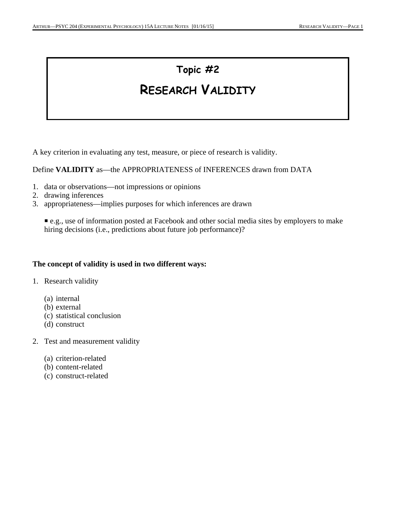# **Topic #2**

# **RESEARCH VALIDITY**

A key criterion in evaluating any test, measure, or piece of research is validity.

Define **VALIDITY** as—the APPROPRIATENESS of INFERENCES drawn from DATA

- 1. data or observations—not impressions or opinions
- 2. drawing inferences
- 3. appropriateness—implies purposes for which inferences are drawn

P e.g., use of information posted at Facebook and other social media sites by employers to make hiring decisions (i.e., predictions about future job performance)?

#### **The concept of validity is used in two different ways:**

- 1. Research validity
	- (a) internal
	- (b) external
	- (c) statistical conclusion
	- (d) construct
- 2. Test and measurement validity
	- (a) criterion-related
	- (b) content-related
	- (c) construct-related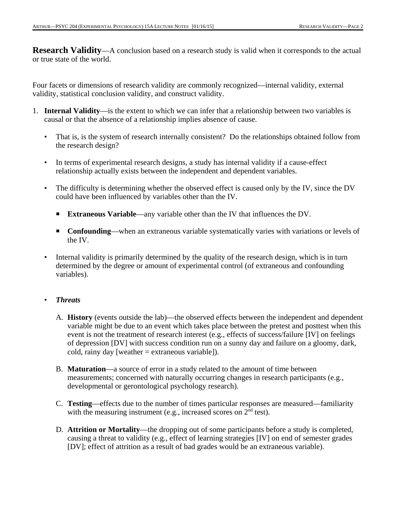**Research Validity**—A conclusion based on a research study is valid when it corresponds to the actual or true state of the world.

Four facets or dimensions of research validity are commonly recognized—internal validity, external validity, statistical conclusion validity, and construct validity.

- 1. **Internal Validity**—is the extent to which we can infer that a relationship between two variables is causal or that the absence of a relationship implies absence of cause.
	- That is, is the system of research internally consistent? Do the relationships obtained follow from the research design?
	- In terms of experimental research designs, a study has internal validity if a cause-effect relationship actually exists between the independent and dependent variables.
	- The difficulty is determining whether the observed effect is caused only by the IV, since the DV could have been influenced by variables other than the IV.
		- **Extraneous Variable—any variable other than the IV that influences the DV.**
		- **Confounding—when an extraneous variable systematically varies with variations or levels of** the IV.
	- Internal validity is primarily determined by the quality of the research design, which is in turn determined by the degree or amount of experimental control (of extraneous and confounding variables).

#### • *Threats*

- A. **History** (events outside the lab)—the observed effects between the independent and dependent variable might be due to an event which takes place between the pretest and posttest when this event is not the treatment of research interest (e.g., effects of success/failure [IV] on feelings of depression [DV] with success condition run on a sunny day and failure on a gloomy, dark, cold, rainy day [weather = extraneous variable]).
- B. **Maturation**—a source of error in a study related to the amount of time between measurements; concerned with naturally occurring changes in research participants (e.g., developmental or gerontological psychology research).
- C. **Testing**—effects due to the number of times particular responses are measured—familiarity with the measuring instrument (e.g., increased scores on  $2<sup>nd</sup>$  test).
- D. **Attrition or Mortality**—the dropping out of some participants before a study is completed, causing a threat to validity (e.g., effect of learning strategies [IV] on end of semester grades [DV]; effect of attrition as a result of bad grades would be an extraneous variable).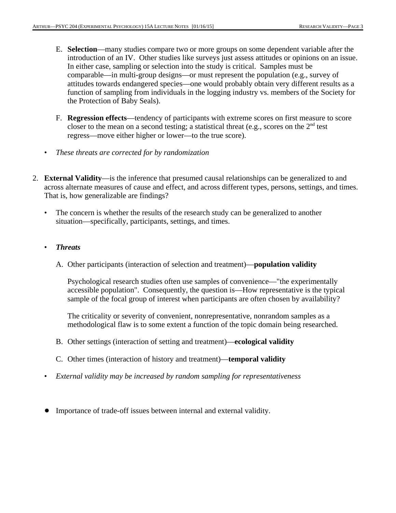- E. **Selection**—many studies compare two or more groups on some dependent variable after the introduction of an IV. Other studies like surveys just assess attitudes or opinions on an issue. In either case, sampling or selection into the study is critical. Samples must be comparable—in multi-group designs—or must represent the population (e.g., survey of attitudes towards endangered species—one would probably obtain very different results as a function of sampling from individuals in the logging industry vs. members of the Society for the Protection of Baby Seals).
- F. **Regression effects**—tendency of participants with extreme scores on first measure to score closer to the mean on a second testing; a statistical threat (e.g., scores on the  $2<sup>nd</sup>$  test regress—move either higher or lower—to the true score).
- *These threats are corrected for by randomization*
- 2. **External Validity**—is the inference that presumed causal relationships can be generalized to and across alternate measures of cause and effect, and across different types, persons, settings, and times. That is, how generalizable are findings?
	- The concern is whether the results of the research study can be generalized to another situation—specifically, participants, settings, and times.
	- *Threats*
		- A. Other participants (interaction of selection and treatment)—**population validity**

Psychological research studies often use samples of convenience—"the experimentally accessible population". Consequently, the question is—How representative is the typical sample of the focal group of interest when participants are often chosen by availability?

The criticality or severity of convenient, nonrepresentative, nonrandom samples as a methodological flaw is to some extent a function of the topic domain being researched.

- B. Other settings (interaction of setting and treatment)—**ecological validity**
- C. Other times (interaction of history and treatment)—**temporal validity**
- *External validity may be increased by random sampling for representativeness*
- ! Importance of trade-off issues between internal and external validity.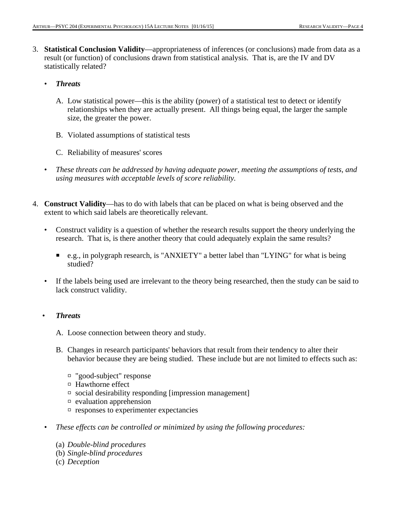- 3. **Statistical Conclusion Validity**—appropriateness of inferences (or conclusions) made from data as a result (or function) of conclusions drawn from statistical analysis. That is, are the IV and DV statistically related?
	- *Threats*
		- A. Low statistical power—this is the ability (power) of a statistical test to detect or identify relationships when they are actually present. All things being equal, the larger the sample size, the greater the power.
		- B. Violated assumptions of statistical tests
		- C. Reliability of measures' scores
	- *These threats can be addressed by having adequate power, meeting the assumptions of tests, and using measures with acceptable levels of score reliability.*
- 4. **Construct Validity**—has to do with labels that can be placed on what is being observed and the extent to which said labels are theoretically relevant.
	- Construct validity is a question of whether the research results support the theory underlying the research. That is, is there another theory that could adequately explain the same results?
		- e.g., in polygraph research, is "ANXIETY" a better label than "LYING" for what is being studied?
	- If the labels being used are irrelevant to the theory being researched, then the study can be said to lack construct validity.

## • *Threats*

- A. Loose connection between theory and study.
- B. Changes in research participants' behaviors that result from their tendency to alter their behavior because they are being studied. These include but are not limited to effects such as:
	- $\Box$  "good-subject" response
	- $\Box$  Hawthorne effect
	- $\Box$  social desirability responding [impression management]
	- $\Box$  evaluation apprehension
	- $\square$  responses to experimenter expectancies
- *These effects can be controlled or minimized by using the following procedures:*
	- (a) *Double-blind procedures*
	- (b) *Single-blind procedures*
	- (c) *Deception*